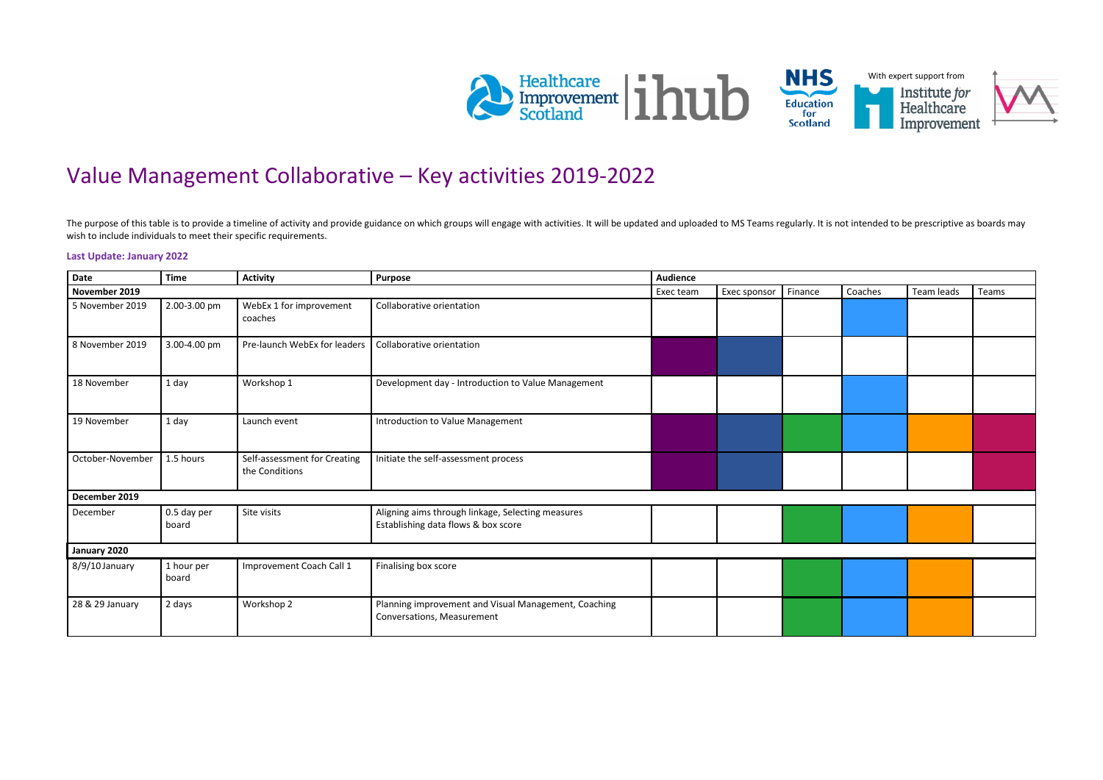

## Value Management Collaborative – Key activities 2019-2022

The purpose of this table is to provide a timeline of activity and provide guidance on which groups will engage with activities. It will be updated and uploaded to MS Teams regularly. It is not intended to be prescriptive wish to include individuals to meet their specific requirements.

## **Last Update: January 2022**

| <b>Date</b>      | <b>Time</b>          | <b>Activity</b>                                | <b>Purpose</b>                                                                           | <b>Audience</b> |              |         |         |            |       |
|------------------|----------------------|------------------------------------------------|------------------------------------------------------------------------------------------|-----------------|--------------|---------|---------|------------|-------|
| November 2019    |                      |                                                |                                                                                          | Exec team       | Exec sponsor | Finance | Coaches | Team leads | Teams |
| 5 November 2019  | 2.00-3.00 pm         | WebEx 1 for improvement<br>coaches             | Collaborative orientation                                                                |                 |              |         |         |            |       |
| 8 November 2019  | 3.00-4.00 pm         | Pre-launch WebEx for leaders                   | Collaborative orientation                                                                |                 |              |         |         |            |       |
| 18 November      | 1 day                | Workshop 1                                     | Development day - Introduction to Value Management                                       |                 |              |         |         |            |       |
| 19 November      | 1 day                | Launch event                                   | Introduction to Value Management                                                         |                 |              |         |         |            |       |
| October-November | 1.5 hours            | Self-assessment for Creating<br>the Conditions | Initiate the self-assessment process                                                     |                 |              |         |         |            |       |
| December 2019    |                      |                                                |                                                                                          |                 |              |         |         |            |       |
| December         | 0.5 day per<br>board | Site visits                                    | Aligning aims through linkage, Selecting measures<br>Establishing data flows & box score |                 |              |         |         |            |       |
| January 2020     |                      |                                                |                                                                                          |                 |              |         |         |            |       |
| 8/9/10 January   | 1 hour per<br>board  | Improvement Coach Call 1                       | Finalising box score                                                                     |                 |              |         |         |            |       |
| 28 & 29 January  | 2 days               | Workshop 2                                     | Planning improvement and Visual Management, Coaching<br>Conversations, Measurement       |                 |              |         |         |            |       |



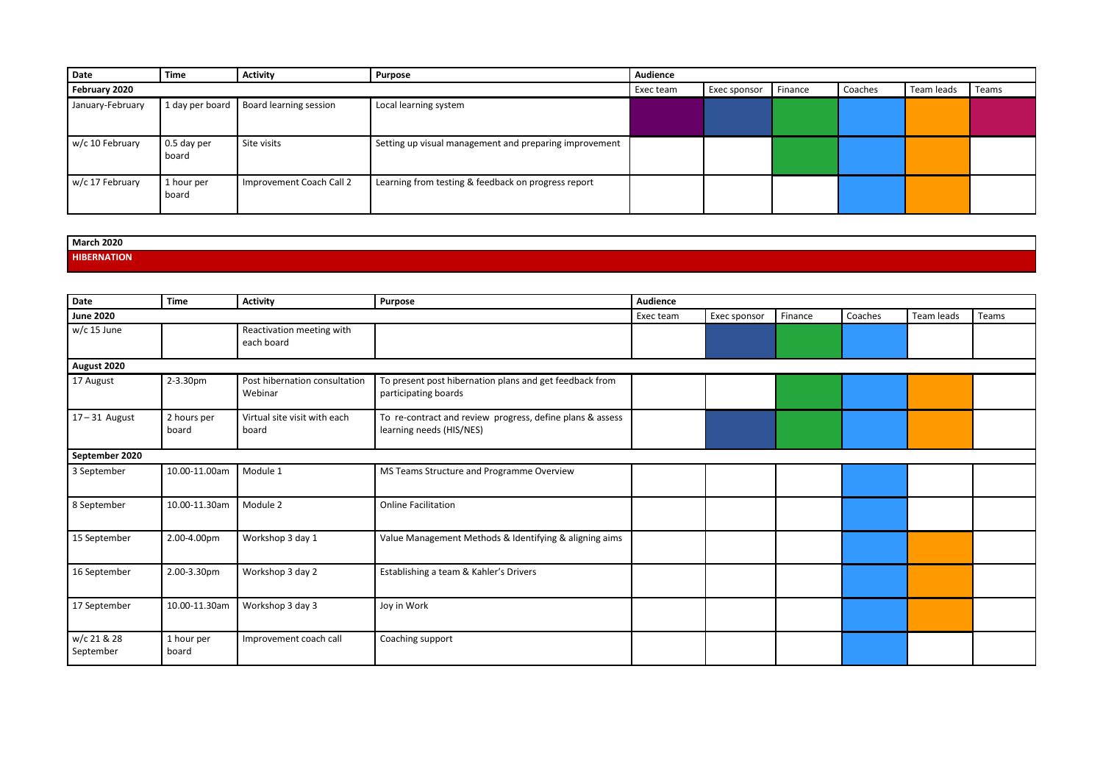| <b>Date</b>      | <b>Time</b>          | <b>Activity</b>          | <b>Purpose</b>                                         | <b>Audience</b> |                     |         |         |            |       |
|------------------|----------------------|--------------------------|--------------------------------------------------------|-----------------|---------------------|---------|---------|------------|-------|
| February 2020    |                      |                          |                                                        | Exec team       | <b>Exec sponsor</b> | Finance | Coaches | Team leads | Teams |
| January-February | 1 day per board      | Board learning session   | Local learning system                                  |                 |                     |         |         |            |       |
| w/c 10 February  | 0.5 day per<br>board | Site visits              | Setting up visual management and preparing improvement |                 |                     |         |         |            |       |
| w/c 17 February  | 1 hour per<br>board  | Improvement Coach Call 2 | Learning from testing & feedback on progress report    |                 |                     |         |         |            |       |

## **March 2020 HIBERNATION**

| Date                     | <b>Time</b>          | <b>Activity</b>                          | <b>Purpose</b>                                                                        | <b>Audience</b> |              |         |         |            |       |
|--------------------------|----------------------|------------------------------------------|---------------------------------------------------------------------------------------|-----------------|--------------|---------|---------|------------|-------|
| <b>June 2020</b>         |                      |                                          |                                                                                       | Exec team       | Exec sponsor | Finance | Coaches | Team leads | Teams |
| w/c 15 June              |                      | Reactivation meeting with<br>each board  |                                                                                       |                 |              |         |         |            |       |
| August 2020              |                      |                                          |                                                                                       |                 |              |         |         |            |       |
| 17 August                | 2-3.30pm             | Post hibernation consultation<br>Webinar | To present post hibernation plans and get feedback from<br>participating boards       |                 |              |         |         |            |       |
| $17 - 31$ August         | 2 hours per<br>board | Virtual site visit with each<br>board    | To re-contract and review progress, define plans & assess<br>learning needs (HIS/NES) |                 |              |         |         |            |       |
| September 2020           |                      |                                          |                                                                                       |                 |              |         |         |            |       |
| 3 September              | 10.00-11.00am        | Module 1                                 | MS Teams Structure and Programme Overview                                             |                 |              |         |         |            |       |
| 8 September              | 10.00-11.30am        | Module 2                                 | <b>Online Facilitation</b>                                                            |                 |              |         |         |            |       |
| 15 September             | 2.00-4.00pm          | Workshop 3 day 1                         | Value Management Methods & Identifying & aligning aims                                |                 |              |         |         |            |       |
| 16 September             | 2.00-3.30pm          | Workshop 3 day 2                         | Establishing a team & Kahler's Drivers                                                |                 |              |         |         |            |       |
| 17 September             | 10.00-11.30am        | Workshop 3 day 3                         | Joy in Work                                                                           |                 |              |         |         |            |       |
| w/c 21 & 28<br>September | 1 hour per<br>board  | Improvement coach call                   | Coaching support                                                                      |                 |              |         |         |            |       |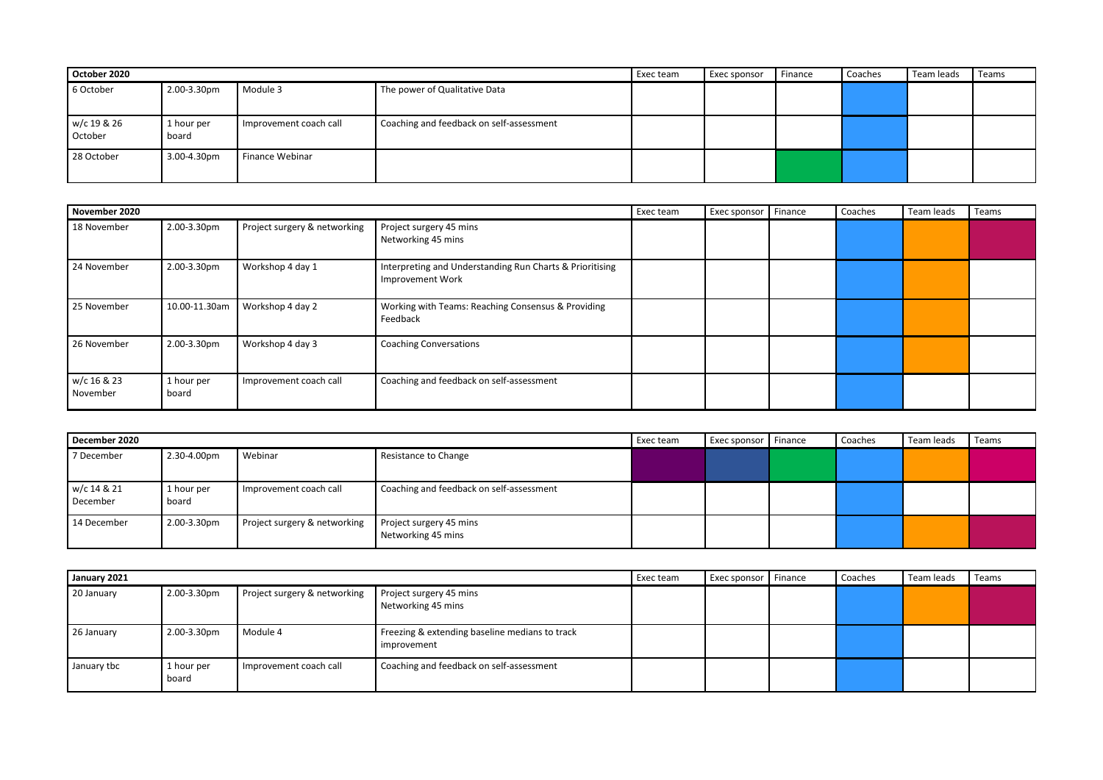| October 2020           |                     |                        |                                          | Exec team | Exec sponsor | Finance | Coaches | Team leads | Teams |
|------------------------|---------------------|------------------------|------------------------------------------|-----------|--------------|---------|---------|------------|-------|
| 6 October              | 2.00-3.30pm         | Module 3               | The power of Qualitative Data            |           |              |         |         |            |       |
| w/c 19 & 26<br>October | 1 hour per<br>board | Improvement coach call | Coaching and feedback on self-assessment |           |              |         |         |            |       |
| 28 October             | 3.00-4.30pm         | Finance Webinar        |                                          |           |              |         |         |            |       |

| November 2020           |                     |                              |                                                                                     | Exec team | <b>Exec sponsor</b> | Finance | Coaches | Team leads | Teams |
|-------------------------|---------------------|------------------------------|-------------------------------------------------------------------------------------|-----------|---------------------|---------|---------|------------|-------|
| 18 November             | 2.00-3.30pm         | Project surgery & networking | Project surgery 45 mins<br>Networking 45 mins                                       |           |                     |         |         |            |       |
| 24 November             | 2.00-3.30pm         | Workshop 4 day 1             | Interpreting and Understanding Run Charts & Prioritising<br><b>Improvement Work</b> |           |                     |         |         |            |       |
| 25 November             | 10.00-11.30am       | Workshop 4 day 2             | Working with Teams: Reaching Consensus & Providing<br>Feedback                      |           |                     |         |         |            |       |
| 26 November             | 2.00-3.30pm         | Workshop 4 day 3             | <b>Coaching Conversations</b>                                                       |           |                     |         |         |            |       |
| w/c 16 & 23<br>November | 1 hour per<br>board | Improvement coach call       | Coaching and feedback on self-assessment                                            |           |                     |         |         |            |       |

| December 2020           |                     |                              |                                               | Exec team | Exec sponsor | Finance | Coaches | Team leads | Teams |
|-------------------------|---------------------|------------------------------|-----------------------------------------------|-----------|--------------|---------|---------|------------|-------|
| 7 December              | 2.30-4.00pm         | Webinar                      | Resistance to Change                          |           |              |         |         |            |       |
| w/c 14 & 21<br>December | 1 hour per<br>board | Improvement coach call       | Coaching and feedback on self-assessment      |           |              |         |         |            |       |
| 14 December             | 2.00-3.30pm         | Project surgery & networking | Project surgery 45 mins<br>Networking 45 mins |           |              |         |         |            |       |

| January 2021 |                     |                              |                                                               | Exec team | <b>Exec sponsor</b> Finance | Coaches | Team leads | Teams |
|--------------|---------------------|------------------------------|---------------------------------------------------------------|-----------|-----------------------------|---------|------------|-------|
| 20 January   | 2.00-3.30pm         | Project surgery & networking | Project surgery 45 mins<br>Networking 45 mins                 |           |                             |         |            |       |
| 26 January   | 2.00-3.30pm         | Module 4                     | Freezing & extending baseline medians to track<br>improvement |           |                             |         |            |       |
| January tbc  | 1 hour per<br>board | Improvement coach call       | Coaching and feedback on self-assessment                      |           |                             |         |            |       |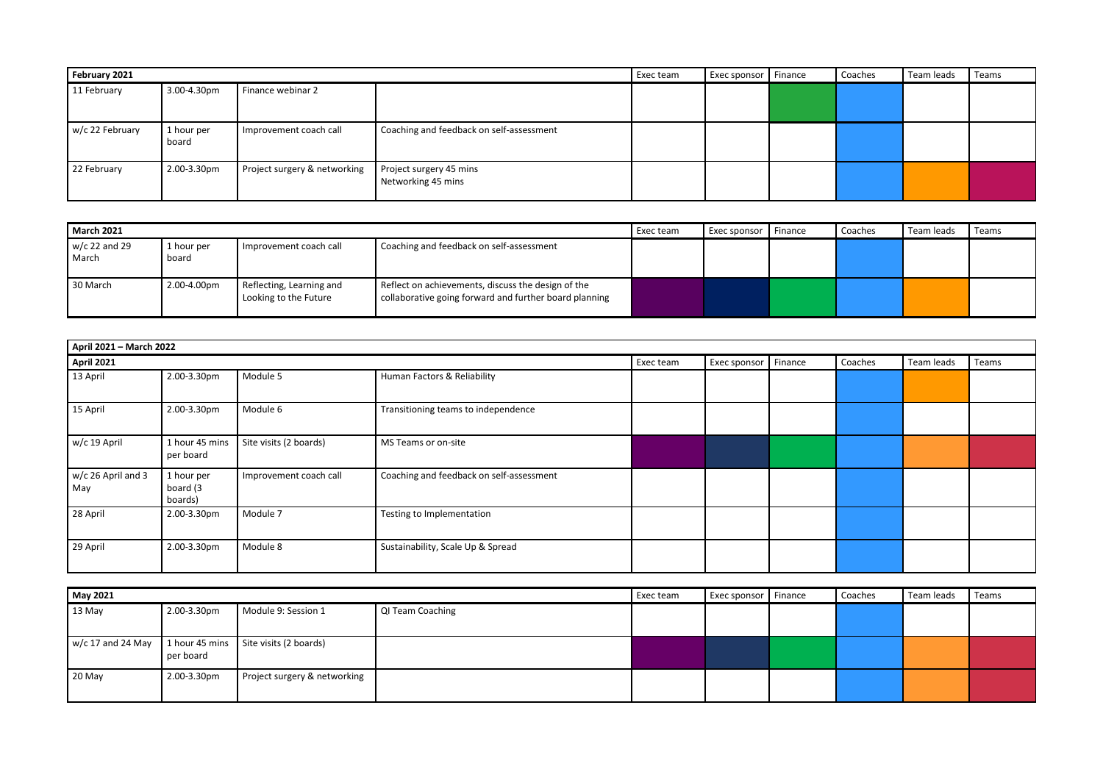| February 2021   |                     |                              |                                               | Exec team | Exec sponsor   Finance | Coaches | Team leads | Teams |
|-----------------|---------------------|------------------------------|-----------------------------------------------|-----------|------------------------|---------|------------|-------|
| 11 February     | 3.00-4.30pm         | Finance webinar 2            |                                               |           |                        |         |            |       |
| w/c 22 February | 1 hour per<br>board | Improvement coach call       | Coaching and feedback on self-assessment      |           |                        |         |            |       |
| 22 February     | 2.00-3.30pm         | Project surgery & networking | Project surgery 45 mins<br>Networking 45 mins |           |                        |         |            |       |

| <b>March 2021</b>        | Coaching and feedback on self-assessment<br>Improvement coach call<br>1 hour per<br>board |                                                   |                                                                                                              | Exec team | Exec sponsor | Finance | Coaches | Team leads | Teams |
|--------------------------|-------------------------------------------------------------------------------------------|---------------------------------------------------|--------------------------------------------------------------------------------------------------------------|-----------|--------------|---------|---------|------------|-------|
| $w/c$ 22 and 29<br>March |                                                                                           |                                                   |                                                                                                              |           |              |         |         |            |       |
| 30 March                 | 2.00-4.00pm                                                                               | Reflecting, Learning and<br>Looking to the Future | Reflect on achievements, discuss the design of the<br>collaborative going forward and further board planning |           |              |         |         |            |       |

| April 2021 - March 2022   |                                   |                        |                                          |           |                     |         |         |            |       |
|---------------------------|-----------------------------------|------------------------|------------------------------------------|-----------|---------------------|---------|---------|------------|-------|
| <b>April 2021</b>         |                                   |                        |                                          | Exec team | <b>Exec sponsor</b> | Finance | Coaches | Team leads | Teams |
| 13 April                  | 2.00-3.30pm                       | Module 5               | Human Factors & Reliability              |           |                     |         |         |            |       |
| 15 April                  | 2.00-3.30pm                       | Module 6               | Transitioning teams to independence      |           |                     |         |         |            |       |
| w/c 19 April              | 1 hour 45 mins<br>per board       | Site visits (2 boards) | MS Teams or on-site                      |           |                     |         |         |            |       |
| w/c 26 April and 3<br>May | 1 hour per<br>board (3<br>boards) | Improvement coach call | Coaching and feedback on self-assessment |           |                     |         |         |            |       |
| 28 April                  | 2.00-3.30pm                       | Module 7               | Testing to Implementation                |           |                     |         |         |            |       |
| 29 April                  | 2.00-3.30pm                       | Module 8               | Sustainability, Scale Up & Spread        |           |                     |         |         |            |       |

| May 2021 |             |                                                                                 |                  | Exec team | Exec sponsor   Finance | Coaches | Team leads | Teams |
|----------|-------------|---------------------------------------------------------------------------------|------------------|-----------|------------------------|---------|------------|-------|
| 13 May   | 2.00-3.30pm | Module 9: Session 1                                                             | QI Team Coaching |           |                        |         |            |       |
|          | per board   | $\vert$ w/c 17 and 24 May $\vert$ 1 hour 45 mins $\vert$ Site visits (2 boards) |                  |           |                        |         |            |       |
| 20 May   | 2.00-3.30pm | Project surgery & networking                                                    |                  |           |                        |         |            |       |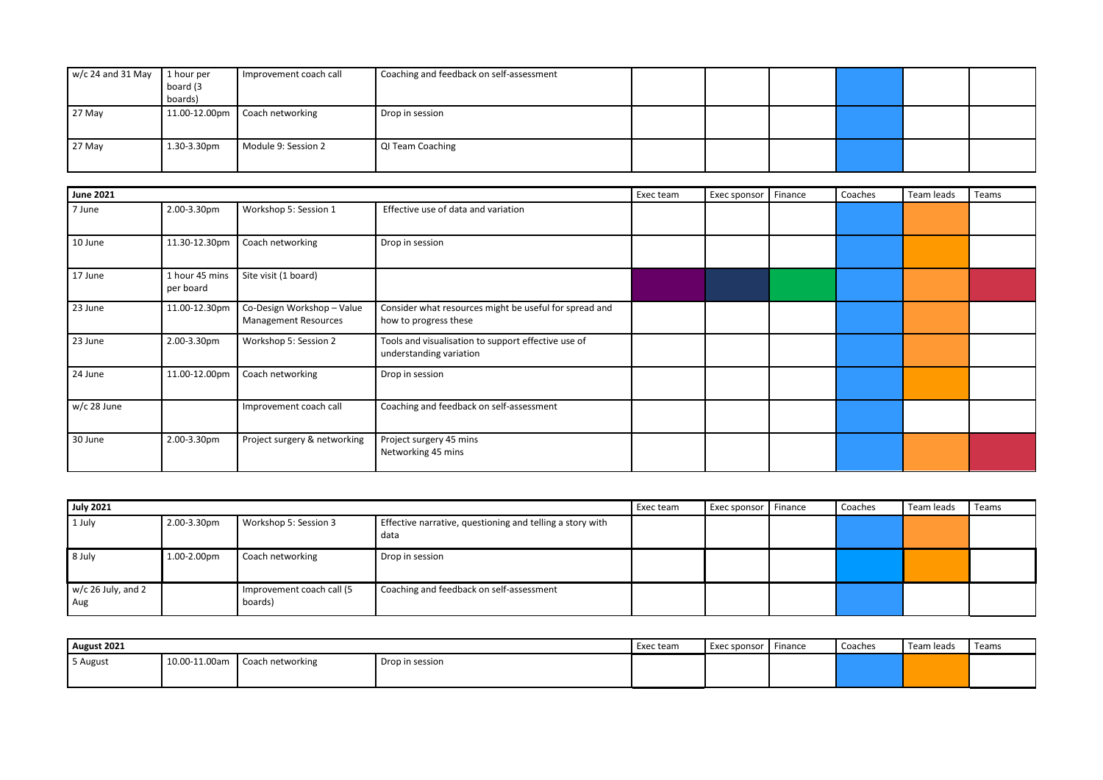| 1 hour per  | Coaching and feedback on self-assessment                                          |  |  |  |
|-------------|-----------------------------------------------------------------------------------|--|--|--|
| board (3    |                                                                                   |  |  |  |
| boards)     |                                                                                   |  |  |  |
|             | Drop in session                                                                   |  |  |  |
|             |                                                                                   |  |  |  |
| 1.30-3.30pm | QI Team Coaching                                                                  |  |  |  |
|             |                                                                                   |  |  |  |
|             | I Improvement coach call<br>11.00-12.00pm Coach networking<br>Module 9: Session 2 |  |  |  |

| <b>June 2021</b> |                             |                                                           |                                                                                 | Exec team | Exec sponsor | Finance | Coaches | Team leads | Teams |
|------------------|-----------------------------|-----------------------------------------------------------|---------------------------------------------------------------------------------|-----------|--------------|---------|---------|------------|-------|
| 7 June           | 2.00-3.30pm                 | Workshop 5: Session 1                                     | Effective use of data and variation                                             |           |              |         |         |            |       |
| 10 June          | 11.30-12.30pm               | Coach networking                                          | Drop in session                                                                 |           |              |         |         |            |       |
| 17 June          | 1 hour 45 mins<br>per board | Site visit (1 board)                                      |                                                                                 |           |              |         |         |            |       |
| 23 June          | 11.00-12.30pm               | Co-Design Workshop - Value<br><b>Management Resources</b> | Consider what resources might be useful for spread and<br>how to progress these |           |              |         |         |            |       |
| 23 June          | 2.00-3.30pm                 | Workshop 5: Session 2                                     | Tools and visualisation to support effective use of<br>understanding variation  |           |              |         |         |            |       |
| 24 June          | 11.00-12.00pm               | Coach networking                                          | Drop in session                                                                 |           |              |         |         |            |       |
| $w/c$ 28 June    |                             | Improvement coach call                                    | Coaching and feedback on self-assessment                                        |           |              |         |         |            |       |
| 30 June          | 2.00-3.30pm                 | Project surgery & networking                              | Project surgery 45 mins<br>Networking 45 mins                                   |           |              |         |         |            |       |

| <b>July 2021</b>            |             |                                      |                                                                   | Exec team | Exec sponsor Finance | Coaches | Team leads | Teams |
|-----------------------------|-------------|--------------------------------------|-------------------------------------------------------------------|-----------|----------------------|---------|------------|-------|
| 1 July                      | 2.00-3.30pm | Workshop 5: Session 3                | Effective narrative, questioning and telling a story with<br>data |           |                      |         |            |       |
| 8 July                      | 1.00-2.00pm | Coach networking                     | Drop in session                                                   |           |                      |         |            |       |
| $w/c$ 26 July, and 2<br>Aug |             | Improvement coach call (5<br>boards) | Coaching and feedback on self-assessment                          |           |                      |         |            |       |

| August 2021 |               |                  |                 | Exec team | Exec sponsor   Finance | Coaches | Team leads | Teams |
|-------------|---------------|------------------|-----------------|-----------|------------------------|---------|------------|-------|
| 5 August    | 10.00-11.00am | Coach networking | Drop in session |           |                        |         |            |       |
|             |               |                  |                 |           |                        |         |            |       |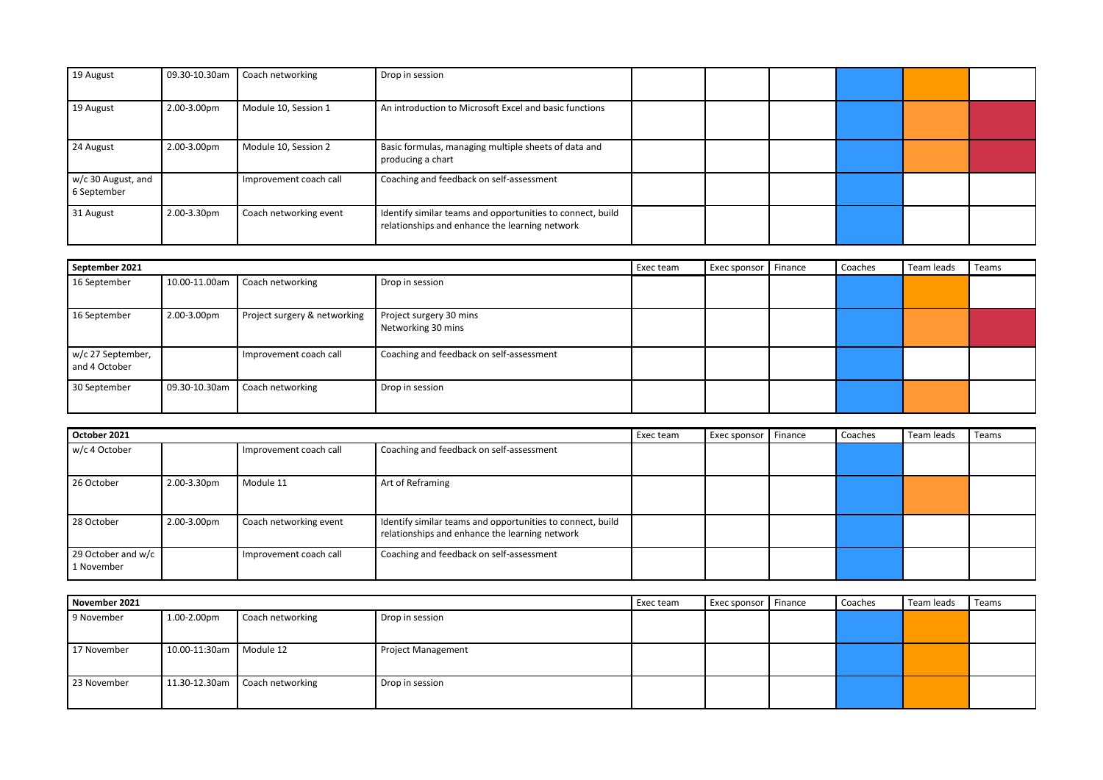| 19 August                         | 09.30-10.30am | Coach networking       | Drop in session                                                                                              |  |  |  |
|-----------------------------------|---------------|------------------------|--------------------------------------------------------------------------------------------------------------|--|--|--|
| 19 August                         | 2.00-3.00pm   | Module 10, Session 1   | An introduction to Microsoft Excel and basic functions                                                       |  |  |  |
| 24 August                         | 2.00-3.00pm   | Module 10, Session 2   | Basic formulas, managing multiple sheets of data and<br>producing a chart                                    |  |  |  |
| w/c 30 August, and<br>6 September |               | Improvement coach call | Coaching and feedback on self-assessment                                                                     |  |  |  |
| 31 August                         | 2.00-3.30pm   | Coach networking event | Identify similar teams and opportunities to connect, build<br>relationships and enhance the learning network |  |  |  |

| September 2021                     |               |                              |                                               | Exec team | Exec sponsor   Finance | Coaches | Team leads | Teams |
|------------------------------------|---------------|------------------------------|-----------------------------------------------|-----------|------------------------|---------|------------|-------|
| 16 September                       | 10.00-11.00am | Coach networking             | Drop in session                               |           |                        |         |            |       |
| 16 September                       | 2.00-3.00pm   | Project surgery & networking | Project surgery 30 mins<br>Networking 30 mins |           |                        |         |            |       |
| w/c 27 September,<br>and 4 October |               | Improvement coach call       | Coaching and feedback on self-assessment      |           |                        |         |            |       |
| 30 September                       | 09.30-10.30am | Coach networking             | Drop in session                               |           |                        |         |            |       |

| October 2021                     |             |                        |                                                                                                              | Exec team | Exec sponsor | Finance | Coaches | Team leads | Teams |
|----------------------------------|-------------|------------------------|--------------------------------------------------------------------------------------------------------------|-----------|--------------|---------|---------|------------|-------|
| w/c 4 October                    |             | Improvement coach call | Coaching and feedback on self-assessment                                                                     |           |              |         |         |            |       |
| 26 October                       | 2.00-3.30pm | Module 11              | Art of Reframing                                                                                             |           |              |         |         |            |       |
| 28 October                       | 2.00-3.00pm | Coach networking event | Identify similar teams and opportunities to connect, build<br>relationships and enhance the learning network |           |              |         |         |            |       |
| 29 October and w/c<br>1 November |             | Improvement coach call | Coaching and feedback on self-assessment                                                                     |           |              |         |         |            |       |

| November 2021 |                           |                                |                           | Exec team | Exec sponsor   Finance | Coaches | Team leads | Teams |
|---------------|---------------------------|--------------------------------|---------------------------|-----------|------------------------|---------|------------|-------|
| 9 November    | 1.00-2.00pm               | Coach networking               | Drop in session           |           |                        |         |            |       |
|               |                           |                                |                           |           |                        |         |            |       |
| 17 November   | 10.00-11:30am   Module 12 |                                | <b>Project Management</b> |           |                        |         |            |       |
|               |                           |                                |                           |           |                        |         |            |       |
| 23 November   |                           | 11.30-12.30am Coach networking | Drop in session           |           |                        |         |            |       |
|               |                           |                                |                           |           |                        |         |            |       |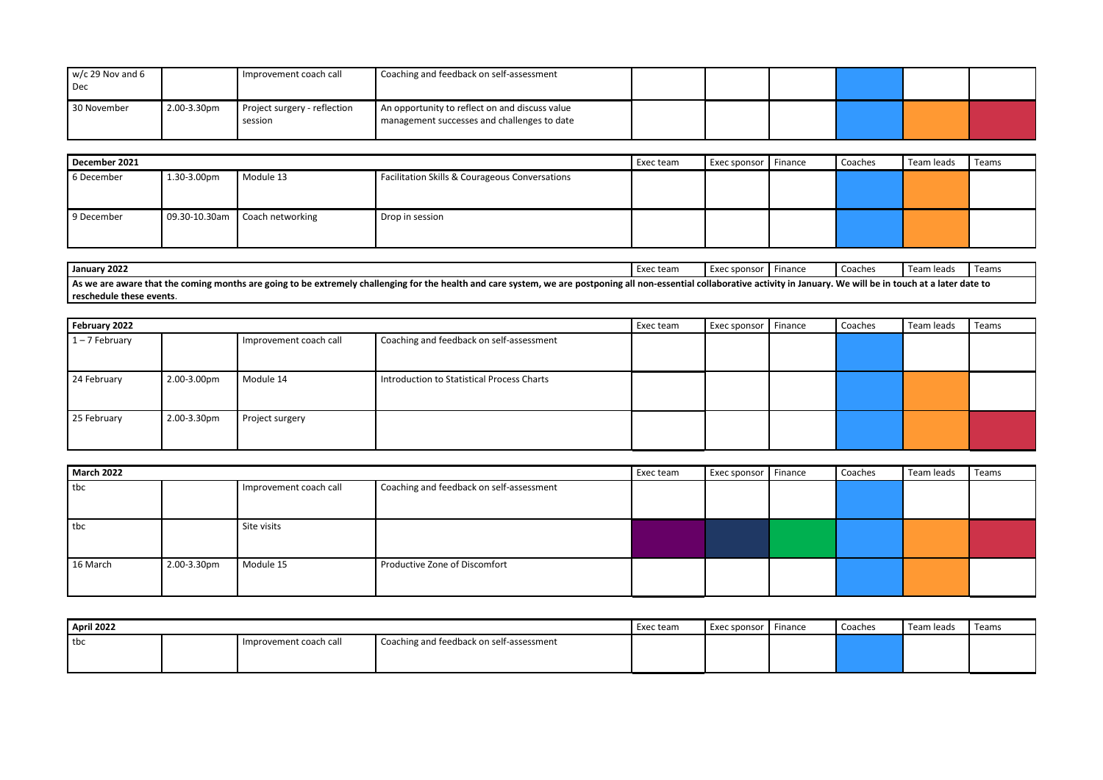| $w/c$ 29 Nov and 6<br>  Dec |             | Improvement coach call                  | Coaching and feedback on self-assessment                                                      |  |  |  |
|-----------------------------|-------------|-----------------------------------------|-----------------------------------------------------------------------------------------------|--|--|--|
| 30 November                 | 2.00-3.30pm | Project surgery - reflection<br>session | An opportunity to reflect on and discuss value<br>management successes and challenges to date |  |  |  |

| December 2021 |                  |                                |                                                           |  | Exec sponsor   Finance | Coaches | Team leads | Teams |
|---------------|------------------|--------------------------------|-----------------------------------------------------------|--|------------------------|---------|------------|-------|
| 6 December    | $1.30 - 3.00$ pm | Module 13                      | <b>Facilitation Skills &amp; Courageous Conversations</b> |  |                        |         |            |       |
|               |                  |                                |                                                           |  |                        |         |            |       |
|               |                  |                                |                                                           |  |                        |         |            |       |
| 9 December    |                  | 09.30-10.30am Coach networking | Drop in session                                           |  |                        |         |            |       |
|               |                  |                                |                                                           |  |                        |         |            |       |
|               |                  |                                |                                                           |  |                        |         |            |       |

| January 2022                                                                                                                                                                                                               | Exec team | Exec sponsor   Finance |  | I Coaches | Team leads | Teams |  |  |  |  |
|----------------------------------------------------------------------------------------------------------------------------------------------------------------------------------------------------------------------------|-----------|------------------------|--|-----------|------------|-------|--|--|--|--|
| As we are aware that the coming months are going to be extremely challenging for the health and care system, we are postponing all non-essential collaborative activity in January. We will be in touch at a later date to |           |                        |  |           |            |       |  |  |  |  |
| reschedule these events.                                                                                                                                                                                                   |           |                        |  |           |            |       |  |  |  |  |

| February 2022    |             |                        |                                            | Exec team | Exec sponsor ' | Finance | Coaches | Team leads | Teams |
|------------------|-------------|------------------------|--------------------------------------------|-----------|----------------|---------|---------|------------|-------|
| $1 - 7$ February |             | Improvement coach call | Coaching and feedback on self-assessment   |           |                |         |         |            |       |
| 24 February      | 2.00-3.00pm | Module 14              | Introduction to Statistical Process Charts |           |                |         |         |            |       |
| 25 February      | 2.00-3.30pm | Project surgery        |                                            |           |                |         |         |            |       |

| <b>March 2022</b> |             |                        |                                          | Exec team | <b>Exec sponsor</b> | Finance | Coaches | Team leads | Teams |
|-------------------|-------------|------------------------|------------------------------------------|-----------|---------------------|---------|---------|------------|-------|
| tbc               |             | Improvement coach call | Coaching and feedback on self-assessment |           |                     |         |         |            |       |
|                   |             |                        |                                          |           |                     |         |         |            |       |
| tbc               |             | Site visits            |                                          |           |                     |         |         |            |       |
|                   |             |                        |                                          |           |                     |         |         |            |       |
| 16 March          | 2.00-3.30pm | Module 15              | Productive Zone of Discomfort            |           |                     |         |         |            |       |
|                   |             |                        |                                          |           |                     |         |         |            |       |

| <b>April 2022</b> |  |                        | Exec team                                | Exec sponsor   Finance | Coaches | Team leads | Teams |  |
|-------------------|--|------------------------|------------------------------------------|------------------------|---------|------------|-------|--|
| I tbc             |  | Improvement coach call | Coaching and feedback on self-assessment |                        |         |            |       |  |
|                   |  |                        |                                          |                        |         |            |       |  |